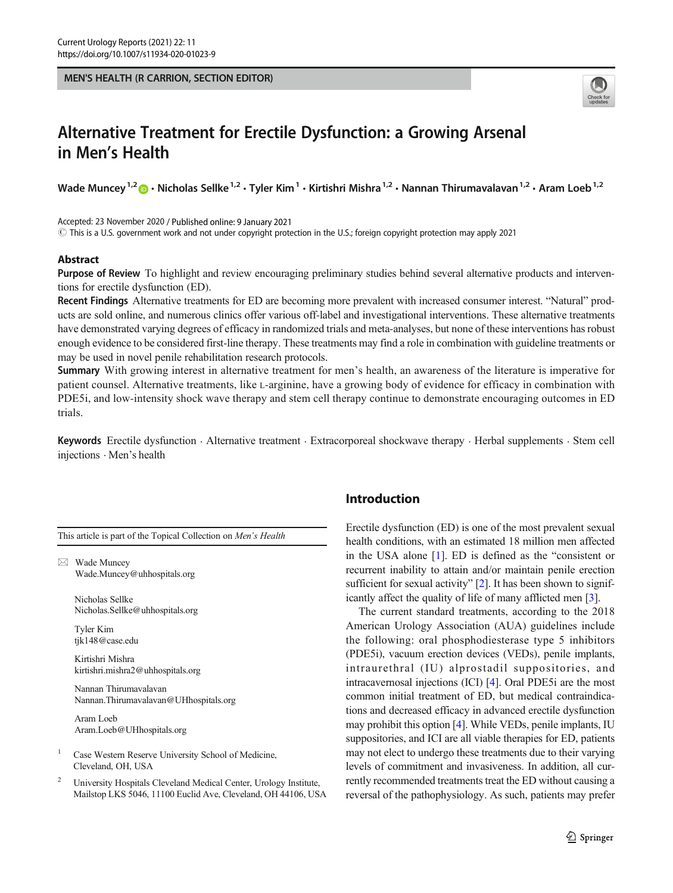#### MEN'S HEALTH (R CARRION, SECTION EDITOR)



# Alternative Treatment for Erectile Dysfunction: a Growing Arsenal in Men's Health

Wade Muncey<sup>1,2</sup>  $\bullet$  · Nicholas Sellke<sup>1,2</sup> · Tyler Kim<sup>1</sup> · Kirtishri Mishra<sup>1,2</sup> · Nannan Thirumavalavan<sup>1,2</sup> · Aram Loeb<sup>1,2</sup>

Accepted: 23 November 2020 / Published online: 9 January 2021

 $\odot$  This is a U.S. government work and not under copyright protection in the U.S.; foreign copyright protection may apply 2021

#### **Abstract**

Purpose of Review To highlight and review encouraging preliminary studies behind several alternative products and interventions for erectile dysfunction (ED).

Recent Findings Alternative treatments for ED are becoming more prevalent with increased consumer interest. "Natural" products are sold online, and numerous clinics offer various off-label and investigational interventions. These alternative treatments have demonstrated varying degrees of efficacy in randomized trials and meta-analyses, but none of these interventions has robust enough evidence to be considered first-line therapy. These treatments may find a role in combination with guideline treatments or may be used in novel penile rehabilitation research protocols.

Summary With growing interest in alternative treatment for men's health, an awareness of the literature is imperative for patient counsel. Alternative treatments, like L-arginine, have a growing body of evidence for efficacy in combination with PDE5i, and low-intensity shock wave therapy and stem cell therapy continue to demonstrate encouraging outcomes in ED trials.

Keywords Erectile dysfunction . Alternative treatment . Extracorporeal shockwave therapy . Herbal supplements . Stem cell injections . Men's health

This article is part of the Topical Collection on Men's Health

 $\boxtimes$  Wade Muncey [Wade.Muncey@uhhospitals.org](mailto:Wade.Muncey@uhhospitals.org)

> Nicholas Sellke Nicholas.Sellke@uhhospitals.org

Tyler Kim tjk148@case.edu

Kirtishri Mishra kirtishri.mishra2@uhhospitals.org

Nannan Thirumavalavan Nannan.Thirumavalavan@UHhospitals.org

Aram Loeb Aram.Loeb@UHhospitals.org

Case Western Reserve University School of Medicine, Cleveland, OH, USA

<sup>2</sup> University Hospitals Cleveland Medical Center, Urology Institute, Mailstop LKS 5046, 11100 Euclid Ave, Cleveland, OH 44106, USA

# Introduction

Erectile dysfunction (ED) is one of the most prevalent sexual health conditions, with an estimated 18 million men affected in the USA alone [\[1](#page-8-0)]. ED is defined as the "consistent or recurrent inability to attain and/or maintain penile erection sufficient for sexual activity" [\[2\]](#page-9-0). It has been shown to significantly affect the quality of life of many afflicted men [\[3](#page-9-0)].

The current standard treatments, according to the 2018 American Urology Association (AUA) guidelines include the following: oral phosphodiesterase type 5 inhibitors (PDE5i), vacuum erection devices (VEDs), penile implants, intraurethral (IU) alprostadil suppositories, and intracavernosal injections (ICI) [\[4](#page-9-0)]. Oral PDE5i are the most common initial treatment of ED, but medical contraindications and decreased efficacy in advanced erectile dysfunction may prohibit this option [[4\]](#page-9-0). While VEDs, penile implants, IU suppositories, and ICI are all viable therapies for ED, patients may not elect to undergo these treatments due to their varying levels of commitment and invasiveness. In addition, all currently recommended treatments treat the ED without causing a reversal of the pathophysiology. As such, patients may prefer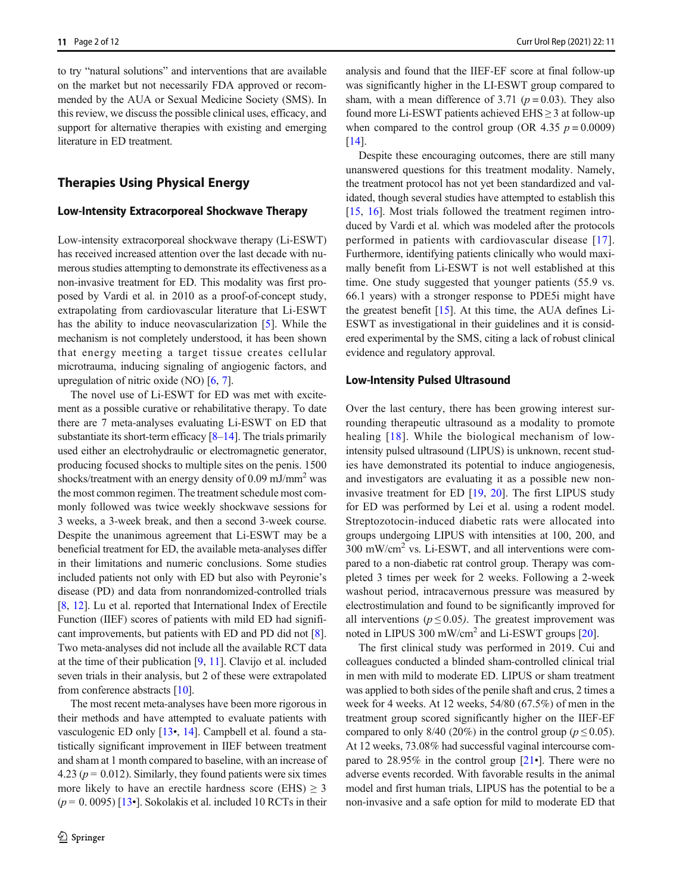to try "natural solutions" and interventions that are available on the market but not necessarily FDA approved or recommended by the AUA or Sexual Medicine Society (SMS). In this review, we discuss the possible clinical uses, efficacy, and support for alternative therapies with existing and emerging literature in ED treatment.

## Therapies Using Physical Energy

#### Low-Intensity Extracorporeal Shockwave Therapy

Low-intensity extracorporeal shockwave therapy (Li-ESWT) has received increased attention over the last decade with numerous studies attempting to demonstrate its effectiveness as a non-invasive treatment for ED. This modality was first proposed by Vardi et al. in 2010 as a proof-of-concept study, extrapolating from cardiovascular literature that Li-ESWT has the ability to induce neovascularization [[5\]](#page-9-0). While the mechanism is not completely understood, it has been shown that energy meeting a target tissue creates cellular microtrauma, inducing signaling of angiogenic factors, and upregulation of nitric oxide (NO) [\[6](#page-9-0), [7](#page-9-0)].

The novel use of Li-ESWT for ED was met with excitement as a possible curative or rehabilitative therapy. To date there are 7 meta-analyses evaluating Li-ESWT on ED that substantiate its short-term efficacy  $[8-14]$  $[8-14]$  $[8-14]$  $[8-14]$  $[8-14]$ . The trials primarily used either an electrohydraulic or electromagnetic generator, producing focused shocks to multiple sites on the penis. 1500 shocks/treatment with an energy density of  $0.09 \text{ mJ/mm}^2$  was the most common regimen. The treatment schedule most commonly followed was twice weekly shockwave sessions for 3 weeks, a 3-week break, and then a second 3-week course. Despite the unanimous agreement that Li-ESWT may be a beneficial treatment for ED, the available meta-analyses differ in their limitations and numeric conclusions. Some studies included patients not only with ED but also with Peyronie's disease (PD) and data from nonrandomized-controlled trials [\[8](#page-9-0), [12](#page-9-0)]. Lu et al. reported that International Index of Erectile Function (IIEF) scores of patients with mild ED had significant improvements, but patients with ED and PD did not [[8\]](#page-9-0). Two meta-analyses did not include all the available RCT data at the time of their publication [\[9,](#page-9-0) [11\]](#page-9-0). Clavijo et al. included seven trials in their analysis, but 2 of these were extrapolated from conference abstracts [[10\]](#page-9-0).

The most recent meta-analyses have been more rigorous in their methods and have attempted to evaluate patients with vasculogenic ED only [[13](#page-9-0)•, [14\]](#page-9-0). Campbell et al. found a statistically significant improvement in IIEF between treatment and sham at 1 month compared to baseline, with an increase of 4.23 ( $p = 0.012$ ). Similarly, they found patients were six times more likely to have an erectile hardness score (EHS)  $\geq$  3  $(p = 0.0095)$  [\[13](#page-9-0)•]. Sokolakis et al. included 10 RCTs in their

analysis and found that the IIEF-EF score at final follow-up was significantly higher in the LI-ESWT group compared to sham, with a mean difference of 3.71 ( $p = 0.03$ ). They also found more Li-ESWT patients achieved  $EHS \geq 3$  at follow-up when compared to the control group (OR 4.35  $p = 0.0009$ ) [\[14](#page-9-0)].

Despite these encouraging outcomes, there are still many unanswered questions for this treatment modality. Namely, the treatment protocol has not yet been standardized and validated, though several studies have attempted to establish this [\[15](#page-9-0), [16](#page-9-0)]. Most trials followed the treatment regimen introduced by Vardi et al. which was modeled after the protocols performed in patients with cardiovascular disease [[17](#page-9-0)]. Furthermore, identifying patients clinically who would maximally benefit from Li-ESWT is not well established at this time. One study suggested that younger patients (55.9 vs. 66.1 years) with a stronger response to PDE5i might have the greatest benefit [\[15](#page-9-0)]. At this time, the AUA defines Li-ESWT as investigational in their guidelines and it is considered experimental by the SMS, citing a lack of robust clinical evidence and regulatory approval.

#### Low-Intensity Pulsed Ultrasound

Over the last century, there has been growing interest surrounding therapeutic ultrasound as a modality to promote healing [[18\]](#page-9-0). While the biological mechanism of lowintensity pulsed ultrasound (LIPUS) is unknown, recent studies have demonstrated its potential to induce angiogenesis, and investigators are evaluating it as a possible new noninvasive treatment for ED [\[19](#page-9-0), [20](#page-9-0)]. The first LIPUS study for ED was performed by Lei et al. using a rodent model. Streptozotocin-induced diabetic rats were allocated into groups undergoing LIPUS with intensities at 100, 200, and  $300 \text{ mW/cm}^2$  vs. Li-ESWT, and all interventions were compared to a non-diabetic rat control group. Therapy was completed 3 times per week for 2 weeks. Following a 2-week washout period, intracavernous pressure was measured by electrostimulation and found to be significantly improved for all interventions ( $p \le 0.05$ ). The greatest improvement was noted in LIPUS 300 mW/cm<sup>2</sup> and Li-ESWT groups [\[20\]](#page-9-0).

The first clinical study was performed in 2019. Cui and colleagues conducted a blinded sham-controlled clinical trial in men with mild to moderate ED. LIPUS or sham treatment was applied to both sides of the penile shaft and crus, 2 times a week for 4 weeks. At 12 weeks, 54/80 (67.5%) of men in the treatment group scored significantly higher on the IIEF-EF compared to only 8/40 (20%) in the control group ( $p \le 0.05$ ). At 12 weeks, 73.08% had successful vaginal intercourse compared to 28.95% in the control group  $[21\bullet]$  $[21\bullet]$ . There were no adverse events recorded. With favorable results in the animal model and first human trials, LIPUS has the potential to be a non-invasive and a safe option for mild to moderate ED that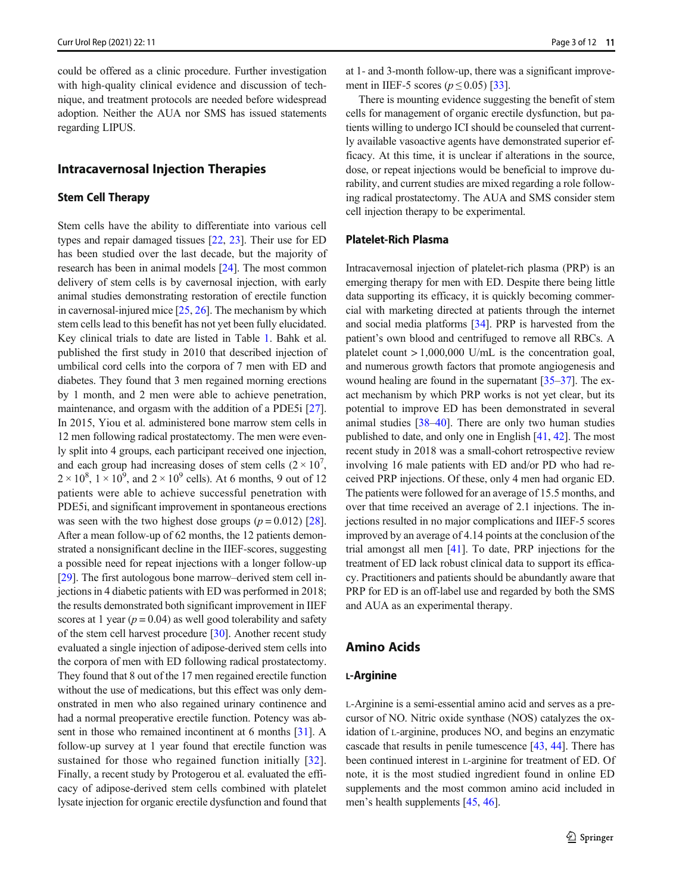could be offered as a clinic procedure. Further investigation with high-quality clinical evidence and discussion of technique, and treatment protocols are needed before widespread adoption. Neither the AUA nor SMS has issued statements regarding LIPUS.

## Intracavernosal Injection Therapies

#### Stem Cell Therapy

Stem cells have the ability to differentiate into various cell types and repair damaged tissues [[22](#page-9-0), [23\]](#page-9-0). Their use for ED has been studied over the last decade, but the majority of research has been in animal models [[24\]](#page-9-0). The most common delivery of stem cells is by cavernosal injection, with early animal studies demonstrating restoration of erectile function in cavernosal-injured mice [\[25](#page-9-0), [26](#page-9-0)]. The mechanism by which stem cells lead to this benefit has not yet been fully elucidated. Key clinical trials to date are listed in Table [1.](#page-3-0) Bahk et al. published the first study in 2010 that described injection of umbilical cord cells into the corpora of 7 men with ED and diabetes. They found that 3 men regained morning erections by 1 month, and 2 men were able to achieve penetration, maintenance, and orgasm with the addition of a PDE5i [[27\]](#page-9-0). In 2015, Yiou et al. administered bone marrow stem cells in 12 men following radical prostatectomy. The men were evenly split into 4 groups, each participant received one injection, and each group had increasing doses of stem cells  $(2 \times 10^7)$ ,  $2 \times 10^8$ ,  $1 \times 10^9$ , and  $2 \times 10^9$  cells). At 6 months, 9 out of 12 patients were able to achieve successful penetration with PDE5i, and significant improvement in spontaneous erections was seen with the two highest dose groups ( $p = 0.012$ ) [[28\]](#page-9-0). After a mean follow-up of 62 months, the 12 patients demonstrated a nonsignificant decline in the IIEF-scores, suggesting a possible need for repeat injections with a longer follow-up [\[29\]](#page-9-0). The first autologous bone marrow–derived stem cell injections in 4 diabetic patients with ED was performed in 2018; the results demonstrated both significant improvement in IIEF scores at 1 year ( $p = 0.04$ ) as well good tolerability and safety of the stem cell harvest procedure [\[30\]](#page-9-0). Another recent study evaluated a single injection of adipose-derived stem cells into the corpora of men with ED following radical prostatectomy. They found that 8 out of the 17 men regained erectile function without the use of medications, but this effect was only demonstrated in men who also regained urinary continence and had a normal preoperative erectile function. Potency was absent in those who remained incontinent at 6 months [\[31](#page-9-0)]. A follow-up survey at 1 year found that erectile function was sustained for those who regained function initially [[32](#page-9-0)]. Finally, a recent study by Protogerou et al. evaluated the efficacy of adipose-derived stem cells combined with platelet lysate injection for organic erectile dysfunction and found that

at 1- and 3-month follow-up, there was a significant improvement in IIEF-5 scores ( $p \le 0.05$ ) [[33](#page-10-0)].

There is mounting evidence suggesting the benefit of stem cells for management of organic erectile dysfunction, but patients willing to undergo ICI should be counseled that currently available vasoactive agents have demonstrated superior efficacy. At this time, it is unclear if alterations in the source, dose, or repeat injections would be beneficial to improve durability, and current studies are mixed regarding a role following radical prostatectomy. The AUA and SMS consider stem cell injection therapy to be experimental.

## Platelet-Rich Plasma

Intracavernosal injection of platelet-rich plasma (PRP) is an emerging therapy for men with ED. Despite there being little data supporting its efficacy, it is quickly becoming commercial with marketing directed at patients through the internet and social media platforms [\[34\]](#page-10-0). PRP is harvested from the patient's own blood and centrifuged to remove all RBCs. A platelet count  $> 1,000,000$  U/mL is the concentration goal, and numerous growth factors that promote angiogenesis and wound healing are found in the supernatant [\[35](#page-10-0)–[37\]](#page-10-0). The exact mechanism by which PRP works is not yet clear, but its potential to improve ED has been demonstrated in several animal studies [[38](#page-10-0)–[40](#page-10-0)]. There are only two human studies published to date, and only one in English [\[41](#page-10-0), [42\]](#page-10-0). The most recent study in 2018 was a small-cohort retrospective review involving 16 male patients with ED and/or PD who had received PRP injections. Of these, only 4 men had organic ED. The patients were followed for an average of 15.5 months, and over that time received an average of 2.1 injections. The injections resulted in no major complications and IIEF-5 scores improved by an average of 4.14 points at the conclusion of the trial amongst all men [[41\]](#page-10-0). To date, PRP injections for the treatment of ED lack robust clinical data to support its efficacy. Practitioners and patients should be abundantly aware that PRP for ED is an off-label use and regarded by both the SMS and AUA as an experimental therapy.

# Amino Acids

#### L-Arginine

L-Arginine is a semi-essential amino acid and serves as a precursor of NO. Nitric oxide synthase (NOS) catalyzes the oxidation of L-arginine, produces NO, and begins an enzymatic cascade that results in penile tumescence [\[43](#page-10-0), [44](#page-10-0)]. There has been continued interest in L-arginine for treatment of ED. Of note, it is the most studied ingredient found in online ED supplements and the most common amino acid included in men's health supplements [[45,](#page-10-0) [46\]](#page-10-0).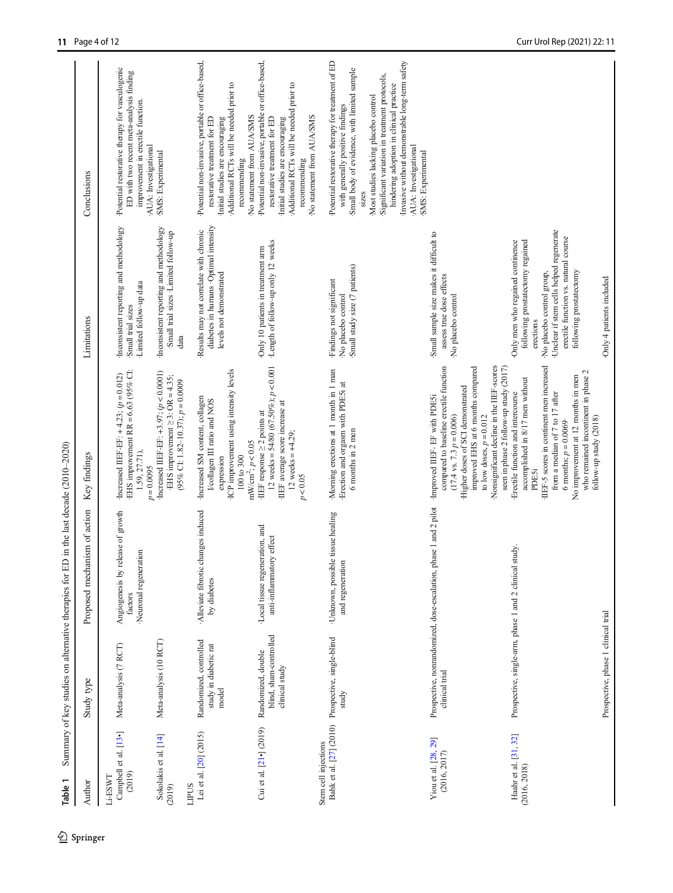<span id="page-3-0"></span>

| Author                                     | Study type                                                     | Proposed mechanism of action                                                                  | Key findings                                                                                                                                                                                                                                                                      | Limitations                                                                                                                                                                                                                  | Conclusions                                                                                                                                                                                                                     |
|--------------------------------------------|----------------------------------------------------------------|-----------------------------------------------------------------------------------------------|-----------------------------------------------------------------------------------------------------------------------------------------------------------------------------------------------------------------------------------------------------------------------------------|------------------------------------------------------------------------------------------------------------------------------------------------------------------------------------------------------------------------------|---------------------------------------------------------------------------------------------------------------------------------------------------------------------------------------------------------------------------------|
| Campbell et al. [13•]<br>(2019)<br>Li-ESWT | Meta-analysis (7 RCT)                                          | Angiogenesis by release of growth<br>Neuronal regeneration<br>factors                         | EHS improvement $RR = 6.63$ (95% CI:<br>Increased IIEF-EF: $+4.23$ ; ( $p = 0.012$ )<br>1.59, 27.71),<br>$p = 0.0095$                                                                                                                                                             | Inconsistent reporting and methodology<br>Limited follow-up data<br>Small trial sizes                                                                                                                                        | Potential restorative therapy for vasculogenic<br>ED with two recent meta-analysis finding<br>improvement in erectile function.<br>AUA: Investigational                                                                         |
| Sokolakis et al. [14]<br>LIPUS<br>(2019)   | Meta-analysis (10 RCT)                                         |                                                                                               | Increased IIEF-EF: +3.97; $(p < 0.0001)$<br>EHS improvement $\geq$ 3: OR = 4.35;<br>$(95\%$ CI: 1.82-10.37); $p = 0.0009$                                                                                                                                                         | Inconsistent reporting and methodology<br>Small trial sizes Limited follow-up<br>data                                                                                                                                        | ·SMS: Experimental                                                                                                                                                                                                              |
| Lei et al. [20] (2015)                     | Randomized, controlled<br>study in diabetic rat<br>model       | Alleviate fibrotic changes induced<br>by diabetes                                             | ICP improvement using intensity levels<br>Increased SM content, collagen<br>I/collagen III ratio and NOS<br>$mW/cm^2$ ; $p < 0.05$<br>$100 \text{ to } 300$<br>expression                                                                                                         | diabetes in humans ·Optimal intensity<br>Results may not correlate with chronic<br>levels not demonstrated                                                                                                                   | Potential non-invasive, portable or office-based,<br>Additional RCTs will be needed prior to<br>No statement from AUA/SMS<br>restorative treatment for ED<br>Initial studies are encouraging<br>recommending                    |
| Cui et al. [21•] (2019)                    | blind, sham-controlled<br>Randomized, double<br>clinical study | Local tissue regeneration, and<br>effect<br>anti-inflammatory                                 | 12 weeks = $54/80$ (67.50%); $p < 0.001$<br>·IIEF average score increase at<br>HEF response $\geq$ 2 points at<br>12 weeks = $+4.29$ ;<br>$p\!<\!0.05$                                                                                                                            | ·Length of follow-up only 12 weeks<br>Only 10 patients in treatment arm                                                                                                                                                      | Potential non-invasive, portable or office-based,<br>Additional RCTs will be needed prior to<br>No statement from AUA/SMS<br>restorative treatment for ED<br>Initial studies are encouraging<br>recommending                    |
| Stem cell injections                       | Bahk et al. [27] (2010) Prospective, single-blind<br>study     | Unknown, possible tissue healing<br>and regeneration                                          | Morning erections at 1 month in 1 man<br>Erection and orgasm with PDESi at<br>6 months in 2 men                                                                                                                                                                                   | Small study size (7 patients)<br>Findings not significant<br>No placebo control                                                                                                                                              | Potential restorative therapy for treatment of ED<br>Small body of evidence, with limited sample<br>with generally positive findings<br><b>SIZES</b>                                                                            |
|                                            |                                                                |                                                                                               |                                                                                                                                                                                                                                                                                   |                                                                                                                                                                                                                              | Invasive without demonstrable long-term safety<br>Significant variation in treatment protocols,<br>hindering adoption in clinical practice<br>Most studies lacking placebo control<br>AUA: Investigational<br>SMS: Experimental |
| Yiou et al. [28, 29]<br>(2016, 2017)       | clinical trial                                                 | Prospective, nonrandomized, dose-escalation, phase 1 and 2 pilot Improved IIEF- EF with PDE5i | Nonsignificant decline in the IIEF-scores<br>improved EHS at 6 months compared<br>compared to baseline erectile function<br>seen in phase 2 follow-up study (2017)<br>Higher doses of SCI demonstrated<br>to low doses, $p = 0.012$<br>$(17.4 \text{ vs. } 7.3 \text{ } p=0.006)$ | Small sample size makes it difficult to<br>assess true dose effects<br>No placebo control                                                                                                                                    |                                                                                                                                                                                                                                 |
| Haahr et al. [31, 32]<br>(2016, 2018)      | Prospective, single-arm, phase 1 and 2 clinical study.         |                                                                                               | IIEF-5 scores in continent men increased<br>who remained incontinent in phase 2<br>No improvement at 12 months in men<br>accomplished in 8/17 men without<br>from a median of 7 to 17 after<br>Erectile function and intercourse<br>6 months; $p = 0.0069$<br><b>PDE5i</b>        | Unclear if stem cells helped regenerate<br>erectile function vs. natural course<br>following prostatectomy regained<br>Only men who regained continence<br>following prostatectomy<br>No placebo control group,<br>erections |                                                                                                                                                                                                                                 |
|                                            | Prospective, phase 1 clinical trial                            |                                                                                               | follow-up study (2018)                                                                                                                                                                                                                                                            | Only 4 patients included                                                                                                                                                                                                     |                                                                                                                                                                                                                                 |

Table 1 Summary of key studies on alternative therapies for ED in the last decade (2010-2020) Table 1 Summary of key studies on alternative therapies for ED in the last decade (2010–2020)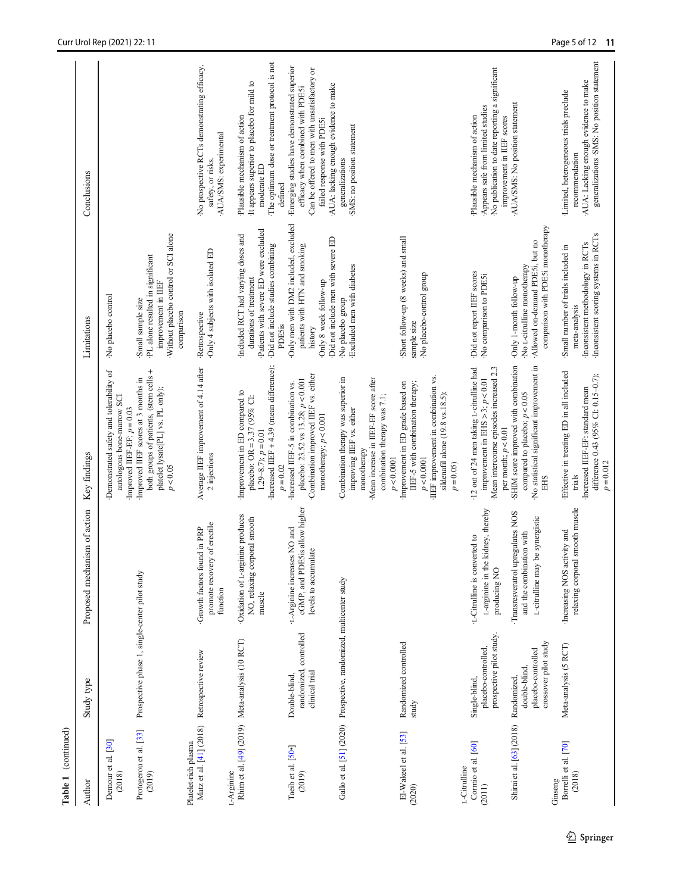| (continued)<br>Table 1                          |                                                                             |                                                                                                    |                                                                                                                                                                                           |                                                                                                                                                                  |                                                                                                                                                                           |
|-------------------------------------------------|-----------------------------------------------------------------------------|----------------------------------------------------------------------------------------------------|-------------------------------------------------------------------------------------------------------------------------------------------------------------------------------------------|------------------------------------------------------------------------------------------------------------------------------------------------------------------|---------------------------------------------------------------------------------------------------------------------------------------------------------------------------|
| Author                                          | Study type                                                                  | Proposed mechanism of action                                                                       | Key findings                                                                                                                                                                              | Limitations                                                                                                                                                      | Conclusions                                                                                                                                                               |
| Demour et al. [30]<br>(2018)                    |                                                                             |                                                                                                    | Demonstrated safety and tolerability of<br>autologous bone-marrow SCI<br>Improved IIEF-EF; $p = 0.03$                                                                                     | No placebo control                                                                                                                                               |                                                                                                                                                                           |
| Protogerou et al. [33]<br>(2019)                | Prospective phase 1, single-center pilot study                              |                                                                                                    | both groups of patients, (stem cells +<br>Improved IIEF scores at 3 months in<br>platelet lysate[PL] vs. PL only);<br>p < 0.05                                                            | Without placebo control or SCI alone<br>·PL alone resulted in significant<br>improvement in IIEF<br>Small sample size<br>comparison                              |                                                                                                                                                                           |
| Matz et al. [41] (2018)<br>Platelet-rich plasma | Retrospective review                                                        | promote recovery of erectile<br>Growth factors found in PRP<br>function                            | Average IIEF improvement of 4.14 after<br>2 injections                                                                                                                                    | Only 4 subjects with isolated ED<br>·Retrospective                                                                                                               | No prospective RCTs demonstrating efficacy,<br>AUA/SMS: experimental<br>safety, or risks.                                                                                 |
| L-Arginine                                      | Rhim et al. [49] (2019) Meta-analysis (10 RCT)                              | Oxidation of L-arginine produces<br>NO, relaxing corporal smooth<br>muscle                         | Increased IIEF $+4.39$ (mean difference);<br>Improvement in ED compared to<br>placebo: OR = 3.37 (95% CI:<br>$1.29-8.7$ ; $p=0.01$                                                        | Patients with severe ED were excluded<br>Included RCT had varying doses and<br>Did not include studies combining<br>durations of treatment                       | The optimum dose or treatment protocol is not<br>It appears superior to placebo for mild to<br>Plausible mechanism of action<br>moderate ED                               |
| Taeib et al. [50-]<br>(2019)                    | randomized, controlled<br>clinical trial<br>Double-blind,                   | cGMP, and PDE5is allow higher<br>L-Arginine increases NO and<br>levels to accumulate               | Combination improved IIEF vs. either<br>placebo: 23.52 vs $13.28$ ; $p < 0.001$<br>Increased IIEF-5 in combination vs.<br>monotherapy; $p < 0.001$<br>$p\,{=}\,0.02$                      | Only men with DM2 included, excluded<br>Did not include men with severe ED<br>patients with HTN and smoking<br>Only 8 week follow-up<br><b>PDE5is</b><br>history | Emerging studies have demonstrated superior<br>Can be offered to men with unsatisfactory or<br>efficacy when combined with PDE5i<br>failed response with PDESi<br>defined |
|                                                 | Gallo et al. [51] (2020) Prospective, randomized, multicenter study         |                                                                                                    | Mean increase in IIEF-EF score after<br>Combination therapy was superior in<br>combination therapy was 7.1;<br>improving IIEF vs. either<br>monotherapy                                   | Excluded men with diabetes<br>No placebo group                                                                                                                   | AUA: lacking enough evidence to make<br>SMS: no position statement<br>generalizations                                                                                     |
| El-Wakeel et al. [53]<br>(2020)                 | Randomized controlled<br>study                                              |                                                                                                    | IIEF improvement in combination vs.<br>IIEF-5 with combination therapy;<br>Improvement in ED grade based on<br>sildenafil alone (19.8 vs.18.5);<br>p < 0.0001<br>p < 0.0001<br>$p = 0.05$ | Short follow-up (8 weeks) and small<br>No placebo-control group<br>sample size                                                                                   |                                                                                                                                                                           |
| Cormio et al. [60]<br>L-Citrulline<br>(2011)    | prospective pilot study.<br>placebo-controlled,<br>Single-blind,            | L-arginine in the kidney, thereby<br>L-Citulline is converted to<br>producing NO                   | 12 out of 24 men taking L-citrulline had<br>Mean intercourse episodes increased 2.3<br>improvement in EHS $>$ 3; $p$ < 0.01                                                               | Did not report IIEF scores<br>No comparison to PDESi                                                                                                             | No publication to date reporting a significant<br>Appears safe from limited studies<br>Plausible mechanism of action                                                      |
| Shirai et al. [63] (2018)                       | crossover pilot study<br>placebo-controlled<br>double-blind,<br>Randomized, | Transresveratrol upregulates NOS<br>be synergistic<br>and the combination with<br>L-citrulline may | SHIM score improved with combination<br>No statistical significant improvement in<br>compared to placebo; $p < 0.05$<br>per month; $p < 0.01$<br><b>EHS</b>                               | comparison with PDE5i monotherapy<br>Allowed on-demand PDESi, but no<br>No L-citrulline monotherapy<br>Only 1-month follow-up                                    | AUA/SMS: No position statement<br>improvement in IIEF scores                                                                                                              |
| Borrelli et al. [70]<br>(2018)<br>Ginseng       | Meta-analysis (5 RCT)                                                       | relaxing corporal smooth muscle<br>Increasing NOS activity and                                     | Effective in treating ED in all included<br>difference 0.43 (95% CI: 0.15-0.7);<br>Increased IIEF-EF: standard mean<br>$p = 0.012$<br>trials                                              | Inconsistent scoring systems in RCTs<br>Inconsistent methodology in RCTs<br>Small number of trials included in<br>meta-analysis                                  | generalizations · SMS: No position statement<br>AUA: Lacking enough evidence to make<br>-Limited, heterogeneous trials preclude<br>recommendation                         |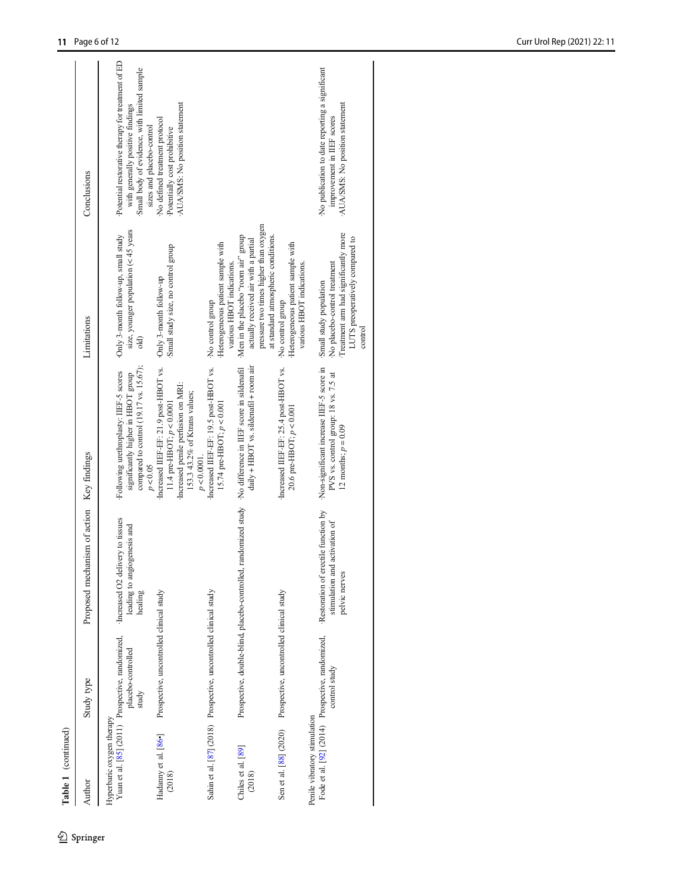| Table 1 (continued)            |                                                                                 |                                                                                          |                                                                                                                                                                                      |                                                                                                                                                             |                                                                                                                                                                   |
|--------------------------------|---------------------------------------------------------------------------------|------------------------------------------------------------------------------------------|--------------------------------------------------------------------------------------------------------------------------------------------------------------------------------------|-------------------------------------------------------------------------------------------------------------------------------------------------------------|-------------------------------------------------------------------------------------------------------------------------------------------------------------------|
| Author                         | Study type                                                                      | Proposed mechanism of action Key findings                                                |                                                                                                                                                                                      | Limitations                                                                                                                                                 | Conclusions                                                                                                                                                       |
| Hyperbaric oxygen therapy      | Yuan et al. [85] (2011) Prospective, randomized,<br>placebo-controlled<br>study | Increased O2 delivery to tissues<br>leading to angiogenesis and<br>healing               | compared to control (19.17 vs. 15.67);<br>Following urethroplasty: IIEF-5 scores<br>significantly higher in HBOT group<br>p < 0.05                                                   | size, younger population $(< 45$ years<br>Only 3-month follow-up, small study<br>old)                                                                       | Potential restorative therapy for treatment of ED<br>Small body of evidence, with limited sample<br>with generally positive findings<br>sizes and placebo-control |
| Hadanny et al. [86•]<br>(2018) | Prospective, uncontrolled clinical study                                        |                                                                                          | Increased IIEF-EF: 21.9 post-HBOT vs. Only 3-month follow-up<br>Increased penile perfusion on MRI:<br>153.3 43.2% of Ktrans values;<br>11.4 pre-HBOT; $p < 0.0001$<br>$p < 0.0001$ . | Small study size, no control group                                                                                                                          | AUA/SMS: No position statement<br>No defined treatment protocol<br>Potentially cost prohibitive                                                                   |
|                                | Sahin et al. [87] (2018) Prospective, uncontrolled clinical study               |                                                                                          | Increased IIEF-EF: 19.5 post-HBOT vs.<br>15.74 pre-HBOT; $p < 0.001$                                                                                                                 | Heterogeneous patient sample with<br>various HBOT indications.<br>No control group                                                                          |                                                                                                                                                                   |
| Chiles et al. [89]<br>(2018)   |                                                                                 |                                                                                          | daily + HBOT vs. sildenafil + room air<br>Prospective, double-blind, placebo-controlled, randomized study ·No difference in IIEF score in sildenafil                                 | pressure two times higher than oxygen<br>at standard atmospheric conditions.<br>Men in the placebo "room air" group<br>actually received air with a partial |                                                                                                                                                                   |
| Sen et al. [88] (2020)         | Prospective, uncontrolled clinical study                                        |                                                                                          | Increased IIEF-EF: 25.4 post-HBOT vs.<br>20.6 pre-HBOT; $p < 0.001$                                                                                                                  | Heterogeneous patient sample with<br>various HBOT indications.<br>No control group                                                                          |                                                                                                                                                                   |
| Penile vibratory stimulation   | Fode et al. [92] (2014) Prospective, randomized,<br>control study               | Restoration of erectile function by<br>activation of<br>stimulation and<br>pelvic nerves | Non-significant increase IIEF-5 score in<br>PVS vs. control group: 18 vs. 7.5 at<br>12 months; $p = 0.09$                                                                            | Treatment arm had significantly more<br>LUTS preoperatively compared to<br>No placebo-control treatment<br>Small study population<br>control                | No publication to date reporting a significant<br>AUA/SMS: No position statement<br>improvement in IIEF scores                                                    |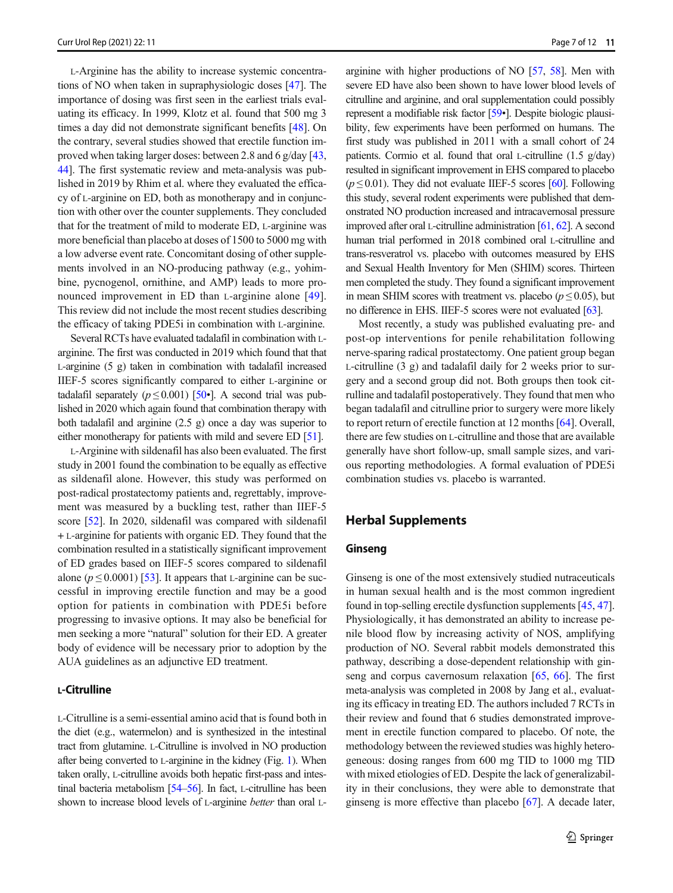L-Arginine has the ability to increase systemic concentrations of NO when taken in supraphysiologic doses [[47](#page-10-0)]. The importance of dosing was first seen in the earliest trials evaluating its efficacy. In 1999, Klotz et al. found that 500 mg 3 times a day did not demonstrate significant benefits [\[48\]](#page-10-0). On the contrary, several studies showed that erectile function improved when taking larger doses: between 2.8 and 6 g/day [[43,](#page-10-0) [44\]](#page-10-0). The first systematic review and meta-analysis was published in 2019 by Rhim et al. where they evaluated the efficacy of L-arginine on ED, both as monotherapy and in conjunction with other over the counter supplements. They concluded that for the treatment of mild to moderate ED, L-arginine was more beneficial than placebo at doses of 1500 to 5000 mg with a low adverse event rate. Concomitant dosing of other supplements involved in an NO-producing pathway (e.g., yohimbine, pycnogenol, ornithine, and AMP) leads to more pronounced improvement in ED than L-arginine alone [[49](#page-10-0)]. This review did not include the most recent studies describing the efficacy of taking PDE5i in combination with L-arginine.

Several RCTs have evaluated tadalafil in combination with Larginine. The first was conducted in 2019 which found that that L-arginine (5 g) taken in combination with tadalafil increased IIEF-5 scores significantly compared to either L-arginine or tadalafil separately ( $p \le 0.001$ ) [\[50](#page-10-0)•]. A second trial was published in 2020 which again found that combination therapy with both tadalafil and arginine (2.5 g) once a day was superior to either monotherapy for patients with mild and severe ED [[51](#page-10-0)].

L-Arginine with sildenafil has also been evaluated. The first study in 2001 found the combination to be equally as effective as sildenafil alone. However, this study was performed on post-radical prostatectomy patients and, regrettably, improvement was measured by a buckling test, rather than IIEF-5 score [[52\]](#page-10-0). In 2020, sildenafil was compared with sildenafil + L-arginine for patients with organic ED. They found that the combination resulted in a statistically significant improvement of ED grades based on IIEF-5 scores compared to sildenafil alone ( $p \le 0.0001$ ) [[53](#page-10-0)]. It appears that L-arginine can be successful in improving erectile function and may be a good option for patients in combination with PDE5i before progressing to invasive options. It may also be beneficial for men seeking a more "natural" solution for their ED. A greater body of evidence will be necessary prior to adoption by the AUA guidelines as an adjunctive ED treatment.

## L-Citrulline

L-Citrulline is a semi-essential amino acid that is found both in the diet (e.g., watermelon) and is synthesized in the intestinal tract from glutamine. L-Citrulline is involved in NO production after being converted to L-arginine in the kidney (Fig. [1\)](#page-8-0). When taken orally, L-citrulline avoids both hepatic first-pass and intestinal bacteria metabolism [\[54](#page-10-0)–[56\]](#page-10-0). In fact, L-citrulline has been shown to increase blood levels of L-arginine better than oral L- arginine with higher productions of NO [\[57,](#page-10-0) [58](#page-10-0)]. Men with severe ED have also been shown to have lower blood levels of citrulline and arginine, and oral supplementation could possibly represent a modifiable risk factor [\[59](#page-10-0)•]. Despite biologic plausibility, few experiments have been performed on humans. The first study was published in 2011 with a small cohort of 24 patients. Cormio et al. found that oral L-citrulline (1.5 g/day) resulted in significant improvement in EHS compared to placebo  $(p \le 0.01)$ . They did not evaluate IIEF-5 scores [\[60\]](#page-10-0). Following this study, several rodent experiments were published that demonstrated NO production increased and intracavernosal pressure improved after oral L-citrulline administration [[61](#page-10-0), [62\]](#page-10-0). A second human trial performed in 2018 combined oral L-citrulline and trans-resveratrol vs. placebo with outcomes measured by EHS and Sexual Health Inventory for Men (SHIM) scores. Thirteen men completed the study. They found a significant improvement in mean SHIM scores with treatment vs. placebo ( $p \le 0.05$ ), but no difference in EHS. IIEF-5 scores were not evaluated [\[63\]](#page-10-0).

Most recently, a study was published evaluating pre- and post-op interventions for penile rehabilitation following nerve-sparing radical prostatectomy. One patient group began L-citrulline (3 g) and tadalafil daily for 2 weeks prior to surgery and a second group did not. Both groups then took citrulline and tadalafil postoperatively. They found that men who began tadalafil and citrulline prior to surgery were more likely to report return of erectile function at 12 months [\[64](#page-10-0)]. Overall, there are few studies on L-citrulline and those that are available generally have short follow-up, small sample sizes, and various reporting methodologies. A formal evaluation of PDE5i combination studies vs. placebo is warranted.

# Herbal Supplements

#### Ginseng

Ginseng is one of the most extensively studied nutraceuticals in human sexual health and is the most common ingredient found in top-selling erectile dysfunction supplements [[45](#page-10-0), [47\]](#page-10-0). Physiologically, it has demonstrated an ability to increase penile blood flow by increasing activity of NOS, amplifying production of NO. Several rabbit models demonstrated this pathway, describing a dose-dependent relationship with ginseng and corpus cavernosum relaxation [[65,](#page-10-0) [66](#page-11-0)]. The first meta-analysis was completed in 2008 by Jang et al., evaluating its efficacy in treating ED. The authors included 7 RCTs in their review and found that 6 studies demonstrated improvement in erectile function compared to placebo. Of note, the methodology between the reviewed studies was highly heterogeneous: dosing ranges from 600 mg TID to 1000 mg TID with mixed etiologies of ED. Despite the lack of generalizability in their conclusions, they were able to demonstrate that ginseng is more effective than placebo [[67](#page-11-0)]. A decade later,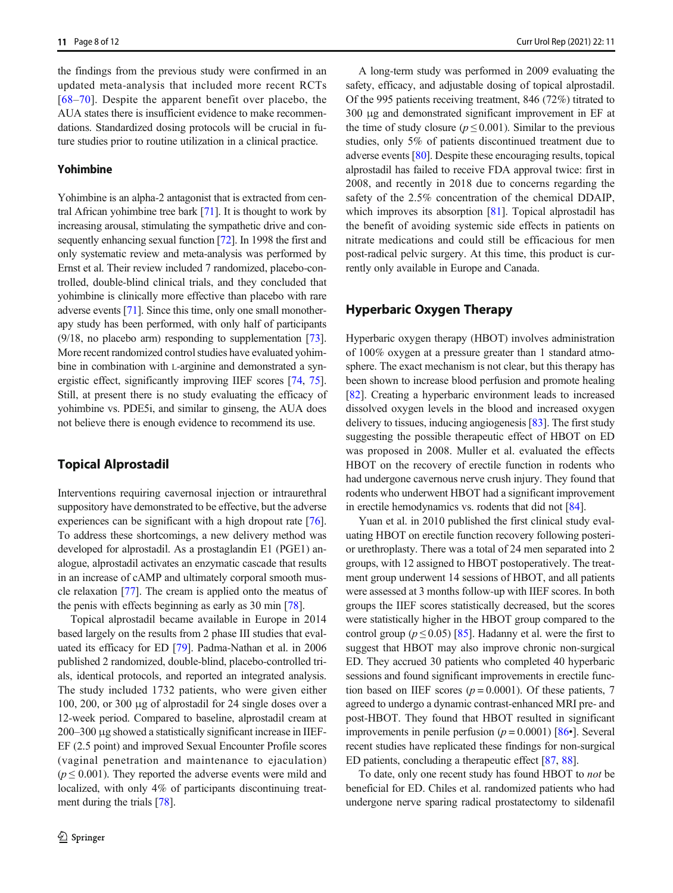the findings from the previous study were confirmed in an updated meta-analysis that included more recent RCTs [\[68](#page-11-0)–[70](#page-11-0)]. Despite the apparent benefit over placebo, the AUA states there is insufficient evidence to make recommendations. Standardized dosing protocols will be crucial in future studies prior to routine utilization in a clinical practice.

#### Yohimbine

Yohimbine is an alpha-2 antagonist that is extracted from central African yohimbine tree bark [\[71](#page-11-0)]. It is thought to work by increasing arousal, stimulating the sympathetic drive and consequently enhancing sexual function [\[72\]](#page-11-0). In 1998 the first and only systematic review and meta-analysis was performed by Ernst et al. Their review included 7 randomized, placebo-controlled, double-blind clinical trials, and they concluded that yohimbine is clinically more effective than placebo with rare adverse events [\[71\]](#page-11-0). Since this time, only one small monotherapy study has been performed, with only half of participants (9/18, no placebo arm) responding to supplementation [[73\]](#page-11-0). More recent randomized control studies have evaluated yohimbine in combination with L-arginine and demonstrated a synergistic effect, significantly improving IIEF scores [[74,](#page-11-0) [75\]](#page-11-0). Still, at present there is no study evaluating the efficacy of yohimbine vs. PDE5i, and similar to ginseng, the AUA does not believe there is enough evidence to recommend its use.

# Topical Alprostadil

Interventions requiring cavernosal injection or intraurethral suppository have demonstrated to be effective, but the adverse experiences can be significant with a high dropout rate [[76\]](#page-11-0). To address these shortcomings, a new delivery method was developed for alprostadil. As a prostaglandin E1 (PGE1) analogue, alprostadil activates an enzymatic cascade that results in an increase of cAMP and ultimately corporal smooth muscle relaxation [\[77\]](#page-11-0). The cream is applied onto the meatus of the penis with effects beginning as early as 30 min [[78](#page-11-0)].

Topical alprostadil became available in Europe in 2014 based largely on the results from 2 phase III studies that evaluated its efficacy for ED [\[79\]](#page-11-0). Padma-Nathan et al. in 2006 published 2 randomized, double-blind, placebo-controlled trials, identical protocols, and reported an integrated analysis. The study included 1732 patients, who were given either 100, 200, or 300 μg of alprostadil for 24 single doses over a 12-week period. Compared to baseline, alprostadil cream at 200–300 μg showed a statistically significant increase in IIEF-EF (2.5 point) and improved Sexual Encounter Profile scores (vaginal penetration and maintenance to ejaculation)  $(p \le 0.001)$ . They reported the adverse events were mild and localized, with only 4% of participants discontinuing treatment during the trials [\[78](#page-11-0)].

A long-term study was performed in 2009 evaluating the safety, efficacy, and adjustable dosing of topical alprostadil. Of the 995 patients receiving treatment, 846 (72%) titrated to 300 μg and demonstrated significant improvement in EF at the time of study closure ( $p \le 0.001$ ). Similar to the previous studies, only 5% of patients discontinued treatment due to adverse events [[80](#page-11-0)]. Despite these encouraging results, topical alprostadil has failed to receive FDA approval twice: first in 2008, and recently in 2018 due to concerns regarding the safety of the 2.5% concentration of the chemical DDAIP, which improves its absorption [\[81](#page-11-0)]. Topical alprostadil has the benefit of avoiding systemic side effects in patients on nitrate medications and could still be efficacious for men post-radical pelvic surgery. At this time, this product is currently only available in Europe and Canada.

# Hyperbaric Oxygen Therapy

Hyperbaric oxygen therapy (HBOT) involves administration of 100% oxygen at a pressure greater than 1 standard atmosphere. The exact mechanism is not clear, but this therapy has been shown to increase blood perfusion and promote healing [\[82](#page-11-0)]. Creating a hyperbaric environment leads to increased dissolved oxygen levels in the blood and increased oxygen delivery to tissues, inducing angiogenesis [\[83\]](#page-11-0). The first study suggesting the possible therapeutic effect of HBOT on ED was proposed in 2008. Muller et al. evaluated the effects HBOT on the recovery of erectile function in rodents who had undergone cavernous nerve crush injury. They found that rodents who underwent HBOT had a significant improvement in erectile hemodynamics vs. rodents that did not [[84](#page-11-0)].

Yuan et al. in 2010 published the first clinical study evaluating HBOT on erectile function recovery following posterior urethroplasty. There was a total of 24 men separated into 2 groups, with 12 assigned to HBOT postoperatively. The treatment group underwent 14 sessions of HBOT, and all patients were assessed at 3 months follow-up with IIEF scores. In both groups the IIEF scores statistically decreased, but the scores were statistically higher in the HBOT group compared to the control group ( $p \le 0.05$ ) [\[85\]](#page-11-0). Hadanny et al. were the first to suggest that HBOT may also improve chronic non-surgical ED. They accrued 30 patients who completed 40 hyperbaric sessions and found significant improvements in erectile function based on IIEF scores ( $p = 0.0001$ ). Of these patients, 7 agreed to undergo a dynamic contrast-enhanced MRI pre- and post-HBOT. They found that HBOT resulted in significant improvements in penile perfusion ( $p = 0.0001$ ) [[86](#page-11-0)•]. Several recent studies have replicated these findings for non-surgical ED patients, concluding a therapeutic effect [\[87](#page-11-0), [88](#page-11-0)].

To date, only one recent study has found HBOT to not be beneficial for ED. Chiles et al. randomized patients who had undergone nerve sparing radical prostatectomy to sildenafil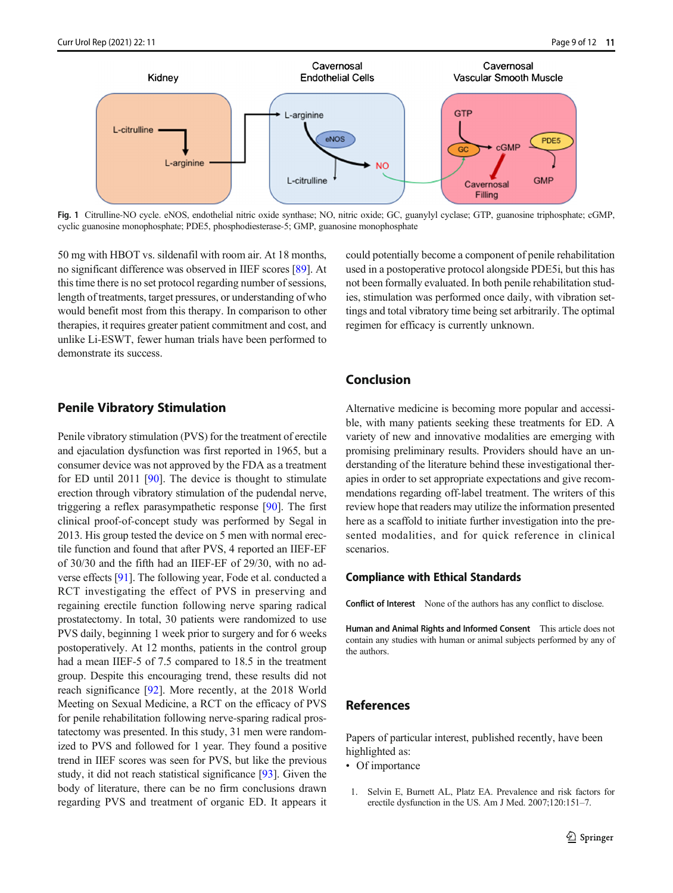<span id="page-8-0"></span>

Fig. 1 Citrulline-NO cycle. eNOS, endothelial nitric oxide synthase; NO, nitric oxide; GC, guanylyl cyclase; GTP, guanosine triphosphate; cGMP, cyclic guanosine monophosphate; PDE5, phosphodiesterase-5; GMP, guanosine monophosphate

50 mg with HBOT vs. sildenafil with room air. At 18 months, no significant difference was observed in IIEF scores [[89](#page-11-0)]. At this time there is no set protocol regarding number of sessions, length of treatments, target pressures, or understanding of who would benefit most from this therapy. In comparison to other therapies, it requires greater patient commitment and cost, and unlike Li-ESWT, fewer human trials have been performed to demonstrate its success.

# Penile Vibratory Stimulation

Penile vibratory stimulation (PVS) for the treatment of erectile and ejaculation dysfunction was first reported in 1965, but a consumer device was not approved by the FDA as a treatment for ED until 2011 [\[90\]](#page-11-0). The device is thought to stimulate erection through vibratory stimulation of the pudendal nerve, triggering a reflex parasympathetic response [[90](#page-11-0)]. The first clinical proof-of-concept study was performed by Segal in 2013. His group tested the device on 5 men with normal erectile function and found that after PVS, 4 reported an IIEF-EF of 30/30 and the fifth had an IIEF-EF of 29/30, with no adverse effects [\[91](#page-11-0)]. The following year, Fode et al. conducted a RCT investigating the effect of PVS in preserving and regaining erectile function following nerve sparing radical prostatectomy. In total, 30 patients were randomized to use PVS daily, beginning 1 week prior to surgery and for 6 weeks postoperatively. At 12 months, patients in the control group had a mean IIEF-5 of 7.5 compared to 18.5 in the treatment group. Despite this encouraging trend, these results did not reach significance [[92\]](#page-11-0). More recently, at the 2018 World Meeting on Sexual Medicine, a RCT on the efficacy of PVS for penile rehabilitation following nerve-sparing radical prostatectomy was presented. In this study, 31 men were randomized to PVS and followed for 1 year. They found a positive trend in IIEF scores was seen for PVS, but like the previous study, it did not reach statistical significance [\[93\]](#page-11-0). Given the body of literature, there can be no firm conclusions drawn regarding PVS and treatment of organic ED. It appears it could potentially become a component of penile rehabilitation used in a postoperative protocol alongside PDE5i, but this has not been formally evaluated. In both penile rehabilitation studies, stimulation was performed once daily, with vibration settings and total vibratory time being set arbitrarily. The optimal regimen for efficacy is currently unknown.

### Conclusion

Alternative medicine is becoming more popular and accessible, with many patients seeking these treatments for ED. A variety of new and innovative modalities are emerging with promising preliminary results. Providers should have an understanding of the literature behind these investigational therapies in order to set appropriate expectations and give recommendations regarding off-label treatment. The writers of this review hope that readers may utilize the information presented here as a scaffold to initiate further investigation into the presented modalities, and for quick reference in clinical scenarios.

#### Compliance with Ethical Standards

Conflict of Interest None of the authors has any conflict to disclose.

Human and Animal Rights and Informed Consent This article does not contain any studies with human or animal subjects performed by any of the authors.

# References

Papers of particular interest, published recently, have been highlighted as:

- Of importance
- 1. Selvin E, Burnett AL, Platz EA. Prevalence and risk factors for erectile dysfunction in the US. Am J Med. 2007;120:151–7.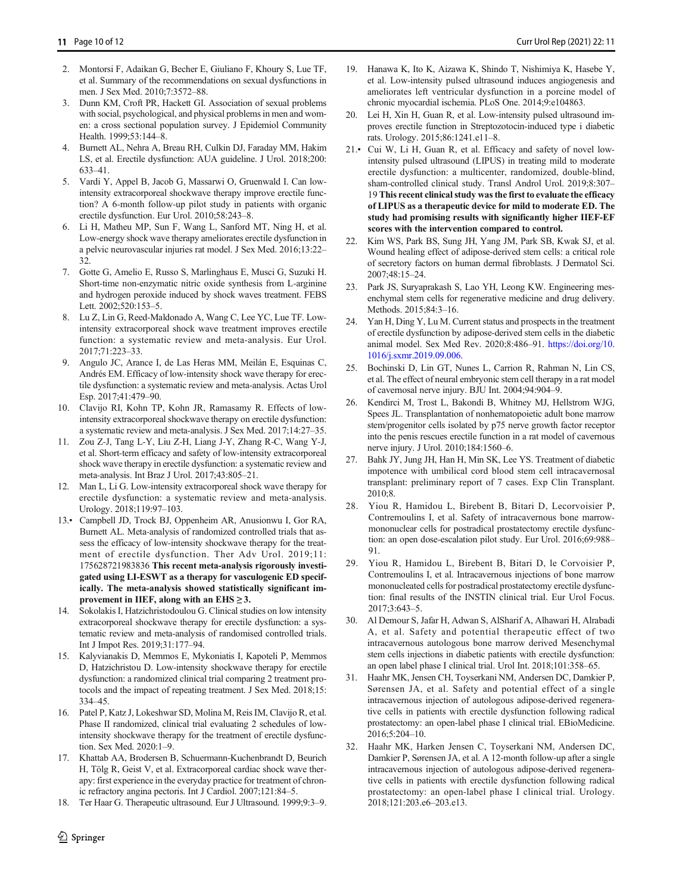- <span id="page-9-0"></span>2. Montorsi F, Adaikan G, Becher E, Giuliano F, Khoury S, Lue TF, et al. Summary of the recommendations on sexual dysfunctions in men. J Sex Med. 2010;7:3572–88.
- 3. Dunn KM, Croft PR, Hackett GI. Association of sexual problems with social, psychological, and physical problems in men and women: a cross sectional population survey. J Epidemiol Community Health. 1999;53:144–8.
- 4. Burnett AL, Nehra A, Breau RH, Culkin DJ, Faraday MM, Hakim LS, et al. Erectile dysfunction: AUA guideline. J Urol. 2018;200: 633–41.
- 5. Vardi Y, Appel B, Jacob G, Massarwi O, Gruenwald I. Can lowintensity extracorporeal shockwave therapy improve erectile function? A 6-month follow-up pilot study in patients with organic erectile dysfunction. Eur Urol. 2010;58:243–8.
- 6. Li H, Matheu MP, Sun F, Wang L, Sanford MT, Ning H, et al. Low-energy shock wave therapy ameliorates erectile dysfunction in a pelvic neurovascular injuries rat model. J Sex Med. 2016;13:22– 32.
- 7. Gotte G, Amelio E, Russo S, Marlinghaus E, Musci G, Suzuki H. Short-time non-enzymatic nitric oxide synthesis from L-arginine and hydrogen peroxide induced by shock waves treatment. FEBS Lett. 2002;520:153–5.
- Lu Z, Lin G, Reed-Maldonado A, Wang C, Lee YC, Lue TF. Lowintensity extracorporeal shock wave treatment improves erectile function: a systematic review and meta-analysis. Eur Urol. 2017;71:223–33.
- 9. Angulo JC, Arance I, de Las Heras MM, Meilán E, Esquinas C, Andrés EM. Efficacy of low-intensity shock wave therapy for erectile dysfunction: a systematic review and meta-analysis. Actas Urol Esp. 2017;41:479–90.
- 10. Clavijo RI, Kohn TP, Kohn JR, Ramasamy R. Effects of lowintensity extracorporeal shockwave therapy on erectile dysfunction: a systematic review and meta-analysis. J Sex Med. 2017;14:27–35.
- 11. Zou Z-J, Tang L-Y, Liu Z-H, Liang J-Y, Zhang R-C, Wang Y-J, et al. Short-term efficacy and safety of low-intensity extracorporeal shock wave therapy in erectile dysfunction: a systematic review and meta-analysis. Int Braz J Urol. 2017;43:805–21.
- 12. Man L, Li G. Low-intensity extracorporeal shock wave therapy for erectile dysfunction: a systematic review and meta-analysis. Urology. 2018;119:97–103.
- 13.• Campbell JD, Trock BJ, Oppenheim AR, Anusionwu I, Gor RA, Burnett AL. Meta-analysis of randomized controlled trials that assess the efficacy of low-intensity shockwave therapy for the treatment of erectile dysfunction. Ther Adv Urol. 2019;11: 175628721983836 This recent meta-analysis rigorously investigated using LI-ESWT as a therapy for vasculogenic ED specifically. The meta-analysis showed statistically significant improvement in IIEF, along with an  $EHS \geq 3$ .
- 14. Sokolakis I, Hatzichristodoulou G. Clinical studies on low intensity extracorporeal shockwave therapy for erectile dysfunction: a systematic review and meta-analysis of randomised controlled trials. Int J Impot Res. 2019;31:177–94.
- 15. Kalyvianakis D, Memmos E, Mykoniatis I, Kapoteli P, Memmos D, Hatzichristou D. Low-intensity shockwave therapy for erectile dysfunction: a randomized clinical trial comparing 2 treatment protocols and the impact of repeating treatment. J Sex Med. 2018;15: 334–45.
- 16. Patel P, Katz J, Lokeshwar SD, Molina M, Reis IM, Clavijo R, et al. Phase II randomized, clinical trial evaluating 2 schedules of lowintensity shockwave therapy for the treatment of erectile dysfunction. Sex Med. 2020:1–9.
- 17. Khattab AA, Brodersen B, Schuermann-Kuchenbrandt D, Beurich H, Tölg R, Geist V, et al. Extracorporeal cardiac shock wave therapy: first experience in the everyday practice for treatment of chronic refractory angina pectoris. Int J Cardiol. 2007;121:84–5.
- 18. Ter Haar G. Therapeutic ultrasound. Eur J Ultrasound. 1999;9:3–9.
- 20. Lei H, Xin H, Guan R, et al. Low-intensity pulsed ultrasound improves erectile function in Streptozotocin-induced type i diabetic rats. Urology. 2015;86:1241.e11–8.
- 21.• Cui W, Li H, Guan R, et al. Efficacy and safety of novel lowintensity pulsed ultrasound (LIPUS) in treating mild to moderate erectile dysfunction: a multicenter, randomized, double-blind, sham-controlled clinical study. Transl Androl Urol. 2019;8:307– 19 This recent clinical study was the first to evaluate the efficacy of LIPUS as a therapeutic device for mild to moderate ED. The study had promising results with significantly higher IIEF-EF scores with the intervention compared to control.
- 22. Kim WS, Park BS, Sung JH, Yang JM, Park SB, Kwak SJ, et al. Wound healing effect of adipose-derived stem cells: a critical role of secretory factors on human dermal fibroblasts. J Dermatol Sci. 2007;48:15–24.
- 23. Park JS, Suryaprakash S, Lao YH, Leong KW. Engineering mesenchymal stem cells for regenerative medicine and drug delivery. Methods. 2015;84:3–16.
- 24. Yan H, Ding Y, Lu M. Current status and prospects in the treatment of erectile dysfunction by adipose-derived stem cells in the diabetic animal model. Sex Med Rev. 2020;8:486–91. [https://doi.org/10.](https://doi.org/10.1016/j.sxmr.2019.09.006) [1016/j.sxmr.2019.09.006.](https://doi.org/10.1016/j.sxmr.2019.09.006)
- 25. Bochinski D, Lin GT, Nunes L, Carrion R, Rahman N, Lin CS, et al. The effect of neural embryonic stem cell therapy in a rat model of cavernosal nerve injury. BJU Int. 2004;94:904–9.
- 26. Kendirci M, Trost L, Bakondi B, Whitney MJ, Hellstrom WJG, Spees JL. Transplantation of nonhematopoietic adult bone marrow stem/progenitor cells isolated by p75 nerve growth factor receptor into the penis rescues erectile function in a rat model of cavernous nerve injury. J Urol. 2010;184:1560–6.
- 27. Bahk JY, Jung JH, Han H, Min SK, Lee YS. Treatment of diabetic impotence with umbilical cord blood stem cell intracavernosal transplant: preliminary report of 7 cases. Exp Clin Transplant. 2010;8.
- 28. Yiou R, Hamidou L, Birebent B, Bitari D, Lecorvoisier P, Contremoulins I, et al. Safety of intracavernous bone marrowmononuclear cells for postradical prostatectomy erectile dysfunction: an open dose-escalation pilot study. Eur Urol. 2016;69:988– 91.
- 29. Yiou R, Hamidou L, Birebent B, Bitari D, le Corvoisier P, Contremoulins I, et al. Intracavernous injections of bone marrow mononucleated cells for postradical prostatectomy erectile dysfunction: final results of the INSTIN clinical trial. Eur Urol Focus. 2017;3:643–5.
- 30. Al Demour S, Jafar H, Adwan S, AlSharif A, Alhawari H, Alrabadi A, et al. Safety and potential therapeutic effect of two intracavernous autologous bone marrow derived Mesenchymal stem cells injections in diabetic patients with erectile dysfunction: an open label phase I clinical trial. Urol Int. 2018;101:358–65.
- 31. Haahr MK, Jensen CH, Toyserkani NM, Andersen DC, Damkier P, Sørensen JA, et al. Safety and potential effect of a single intracavernous injection of autologous adipose-derived regenerative cells in patients with erectile dysfunction following radical prostatectomy: an open-label phase I clinical trial. EBioMedicine. 2016;5:204–10.
- 32. Haahr MK, Harken Jensen C, Toyserkani NM, Andersen DC, Damkier P, Sørensen JA, et al. A 12-month follow-up after a single intracavernous injection of autologous adipose-derived regenerative cells in patients with erectile dysfunction following radical prostatectomy: an open-label phase I clinical trial. Urology. 2018;121:203.e6–203.e13.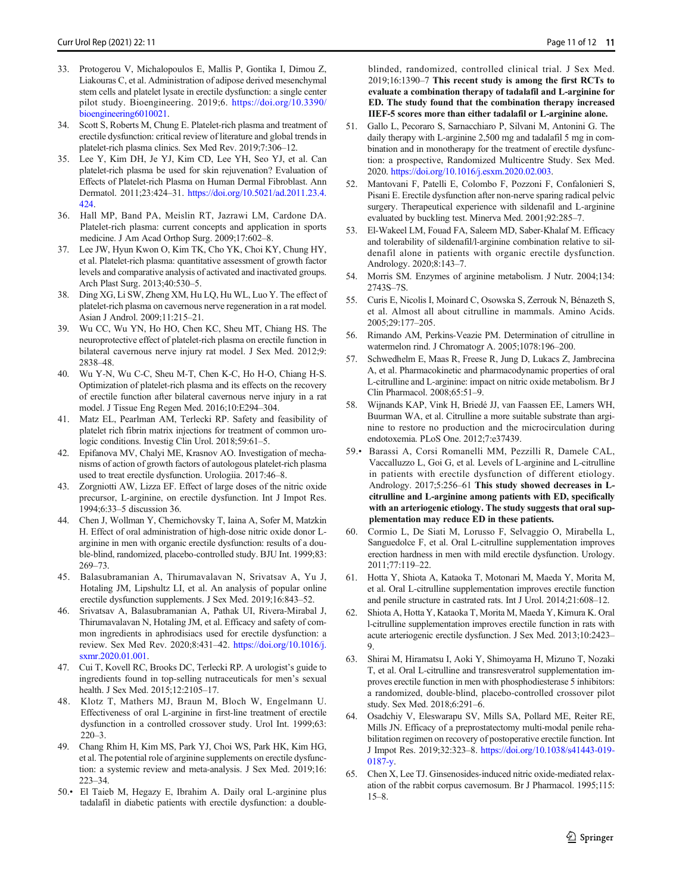- <span id="page-10-0"></span>33. Protogerou V, Michalopoulos E, Mallis P, Gontika I, Dimou Z, Liakouras C, et al. Administration of adipose derived mesenchymal stem cells and platelet lysate in erectile dysfunction: a single center pilot study. Bioengineering. 2019;6. [https://doi.org/10.3390/](https://doi.org/10.3390/bioengineering6010021) [bioengineering6010021](https://doi.org/10.3390/bioengineering6010021).
- 34. Scott S, Roberts M, Chung E. Platelet-rich plasma and treatment of erectile dysfunction: critical review of literature and global trends in platelet-rich plasma clinics. Sex Med Rev. 2019;7:306–12.
- 35. Lee Y, Kim DH, Je YJ, Kim CD, Lee YH, Seo YJ, et al. Can platelet-rich plasma be used for skin rejuvenation? Evaluation of Effects of Platelet-rich Plasma on Human Dermal Fibroblast. Ann Dermatol. 2011;23:424–31. [https://doi.org/10.5021/ad.2011.23.4.](https://doi.org/10.5021/ad.2011.23.4.424) [424.](https://doi.org/10.5021/ad.2011.23.4.424)
- 36. Hall MP, Band PA, Meislin RT, Jazrawi LM, Cardone DA. Platelet-rich plasma: current concepts and application in sports medicine. J Am Acad Orthop Surg. 2009;17:602–8.
- 37. Lee JW, Hyun Kwon O, Kim TK, Cho YK, Choi KY, Chung HY, et al. Platelet-rich plasma: quantitative assessment of growth factor levels and comparative analysis of activated and inactivated groups. Arch Plast Surg. 2013;40:530–5.
- 38. Ding XG, Li SW, Zheng XM, Hu LQ, Hu WL, Luo Y. The effect of platelet-rich plasma on cavernous nerve regeneration in a rat model. Asian J Androl. 2009;11:215–21.
- 39. Wu CC, Wu YN, Ho HO, Chen KC, Sheu MT, Chiang HS. The neuroprotective effect of platelet-rich plasma on erectile function in bilateral cavernous nerve injury rat model. J Sex Med. 2012;9: 2838–48.
- 40. Wu Y-N, Wu C-C, Sheu M-T, Chen K-C, Ho H-O, Chiang H-S. Optimization of platelet-rich plasma and its effects on the recovery of erectile function after bilateral cavernous nerve injury in a rat model. J Tissue Eng Regen Med. 2016;10:E294–304.
- Matz EL, Pearlman AM, Terlecki RP. Safety and feasibility of platelet rich fibrin matrix injections for treatment of common urologic conditions. Investig Clin Urol. 2018;59:61–5.
- 42. Epifanova MV, Chalyi ME, Krasnov AO. Investigation of mechanisms of action of growth factors of autologous platelet-rich plasma used to treat erectile dysfunction. Urologiia. 2017:46–8.
- 43. Zorgniotti AW, Lizza EF. Effect of large doses of the nitric oxide precursor, L-arginine, on erectile dysfunction. Int J Impot Res. 1994;6:33–5 discussion 36.
- 44. Chen J, Wollman Y, Chernichovsky T, Iaina A, Sofer M, Matzkin H. Effect of oral administration of high-dose nitric oxide donor Larginine in men with organic erectile dysfunction: results of a double-blind, randomized, placebo-controlled study. BJU Int. 1999;83: 269–73.
- 45. Balasubramanian A, Thirumavalavan N, Srivatsav A, Yu J, Hotaling JM, Lipshultz LI, et al. An analysis of popular online erectile dysfunction supplements. J Sex Med. 2019;16:843–52.
- 46. Srivatsav A, Balasubramanian A, Pathak UI, Rivera-Mirabal J, Thirumavalavan N, Hotaling JM, et al. Efficacy and safety of common ingredients in aphrodisiacs used for erectile dysfunction: a review. Sex Med Rev. 2020;8:431–42. [https://doi.org/10.1016/j.](https://doi.org/10.1016/j.sxmr.2020.01.001) [sxmr.2020.01.001.](https://doi.org/10.1016/j.sxmr.2020.01.001)
- 47. Cui T, Kovell RC, Brooks DC, Terlecki RP. A urologist's guide to ingredients found in top-selling nutraceuticals for men's sexual health. J Sex Med. 2015;12:2105–17.
- 48. Klotz T, Mathers MJ, Braun M, Bloch W, Engelmann U. Effectiveness of oral L-arginine in first-line treatment of erectile dysfunction in a controlled crossover study. Urol Int. 1999;63:  $220 - 3$ .
- 49. Chang Rhim H, Kim MS, Park YJ, Choi WS, Park HK, Kim HG, et al. The potential role of arginine supplements on erectile dysfunction: a systemic review and meta-analysis. J Sex Med. 2019;16: 223–34.
- 50.• El Taieb M, Hegazy E, Ibrahim A. Daily oral L-arginine plus tadalafil in diabetic patients with erectile dysfunction: a double-

blinded, randomized, controlled clinical trial. J Sex Med. 2019;16:1390–7 This recent study is among the first RCTs to evaluate a combination therapy of tadalafil and L-arginine for ED. The study found that the combination therapy increased IIEF-5 scores more than either tadalafil or L-arginine alone.

- 51. Gallo L, Pecoraro S, Sarnacchiaro P, Silvani M, Antonini G. The daily therapy with L-arginine 2,500 mg and tadalafil 5 mg in combination and in monotherapy for the treatment of erectile dysfunction: a prospective, Randomized Multicentre Study. Sex Med. 2020. [https://doi.org/10.1016/j.esxm.2020.02.003.](https://doi.org/10.1016/j.esxm.2020.02.003)
- 52. Mantovani F, Patelli E, Colombo F, Pozzoni F, Confalonieri S, Pisani E. Erectile dysfunction after non-nerve sparing radical pelvic surgery. Therapeutical experience with sildenafil and L-arginine evaluated by buckling test. Minerva Med. 2001;92:285–7.
- 53. El-Wakeel LM, Fouad FA, Saleem MD, Saber-Khalaf M. Efficacy and tolerability of sildenafil/l-arginine combination relative to sildenafil alone in patients with organic erectile dysfunction. Andrology. 2020;8:143–7.
- 54. Morris SM. Enzymes of arginine metabolism. J Nutr. 2004;134: 2743S–7S.
- 55. Curis E, Nicolis I, Moinard C, Osowska S, Zerrouk N, Bénazeth S, et al. Almost all about citrulline in mammals. Amino Acids. 2005;29:177–205.
- 56. Rimando AM, Perkins-Veazie PM. Determination of citrulline in watermelon rind. J Chromatogr A. 2005;1078:196–200.
- 57. Schwedhelm E, Maas R, Freese R, Jung D, Lukacs Z, Jambrecina A, et al. Pharmacokinetic and pharmacodynamic properties of oral L-citrulline and L-arginine: impact on nitric oxide metabolism. Br J Clin Pharmacol. 2008;65:51–9.
- 58. Wijnands KAP, Vink H, Briedé JJ, van Faassen EE, Lamers WH, Buurman WA, et al. Citrulline a more suitable substrate than arginine to restore no production and the microcirculation during endotoxemia. PLoS One. 2012;7:e37439.
- 59.• Barassi A, Corsi Romanelli MM, Pezzilli R, Damele CAL, Vaccalluzzo L, Goi G, et al. Levels of L-arginine and L-citrulline in patients with erectile dysfunction of different etiology. Andrology. 2017;5:256–61 This study showed decreases in Lcitrulline and L-arginine among patients with ED, specifically with an arteriogenic etiology. The study suggests that oral supplementation may reduce ED in these patients.
- 60. Cormio L, De Siati M, Lorusso F, Selvaggio O, Mirabella L, Sanguedolce F, et al. Oral L-citrulline supplementation improves erection hardness in men with mild erectile dysfunction. Urology. 2011;77:119–22.
- 61. Hotta Y, Shiota A, Kataoka T, Motonari M, Maeda Y, Morita M, et al. Oral L-citrulline supplementation improves erectile function and penile structure in castrated rats. Int J Urol. 2014;21:608–12.
- 62. Shiota A, Hotta Y, Kataoka T, Morita M, Maeda Y, Kimura K. Oral l-citrulline supplementation improves erectile function in rats with acute arteriogenic erectile dysfunction. J Sex Med. 2013;10:2423– 9.
- 63. Shirai M, Hiramatsu I, Aoki Y, Shimoyama H, Mizuno T, Nozaki T, et al. Oral L-citrulline and transresveratrol supplementation improves erectile function in men with phosphodiesterase 5 inhibitors: a randomized, double-blind, placebo-controlled crossover pilot study. Sex Med. 2018;6:291–6.
- 64. Osadchiy V, Eleswarapu SV, Mills SA, Pollard ME, Reiter RE, Mills JN. Efficacy of a preprostatectomy multi-modal penile rehabilitation regimen on recovery of postoperative erectile function. Int J Impot Res. 2019;32:323–8. [https://doi.org/10.1038/s41443-019-](https://doi.org/10.1038/s41443-019-0187-y) [0187-y.](https://doi.org/10.1038/s41443-019-0187-y)
- 65. Chen X, Lee TJ. Ginsenosides-induced nitric oxide-mediated relaxation of the rabbit corpus cavernosum. Br J Pharmacol. 1995;115: 15–8.